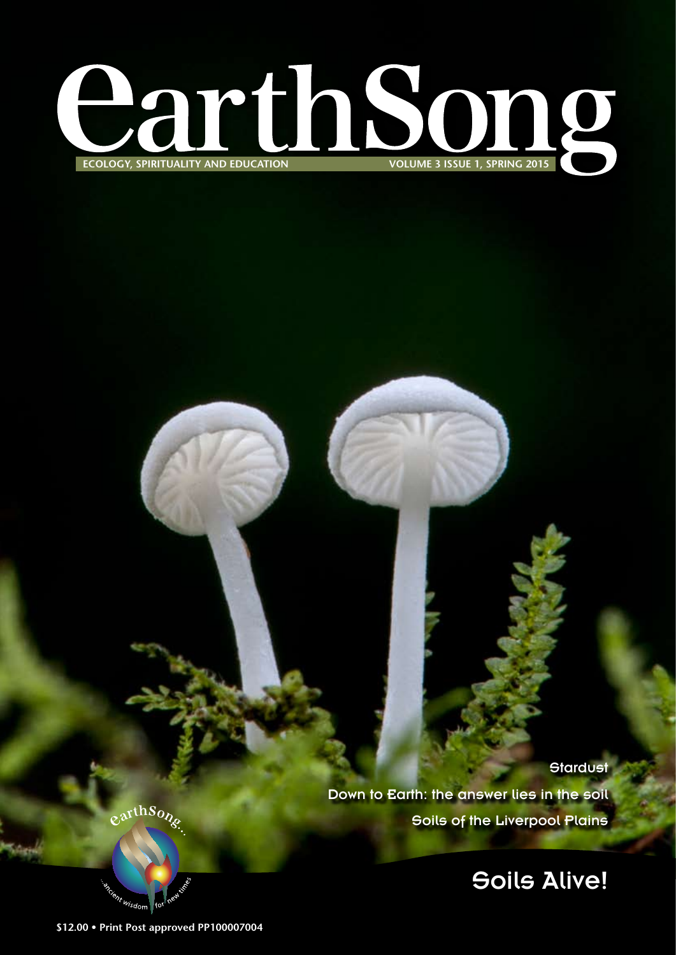

**Stardust** Down to Earth: the answer lies in the soil Soils of the Liverpool Plains

Soils Alive!

earthSong

Cient wisdom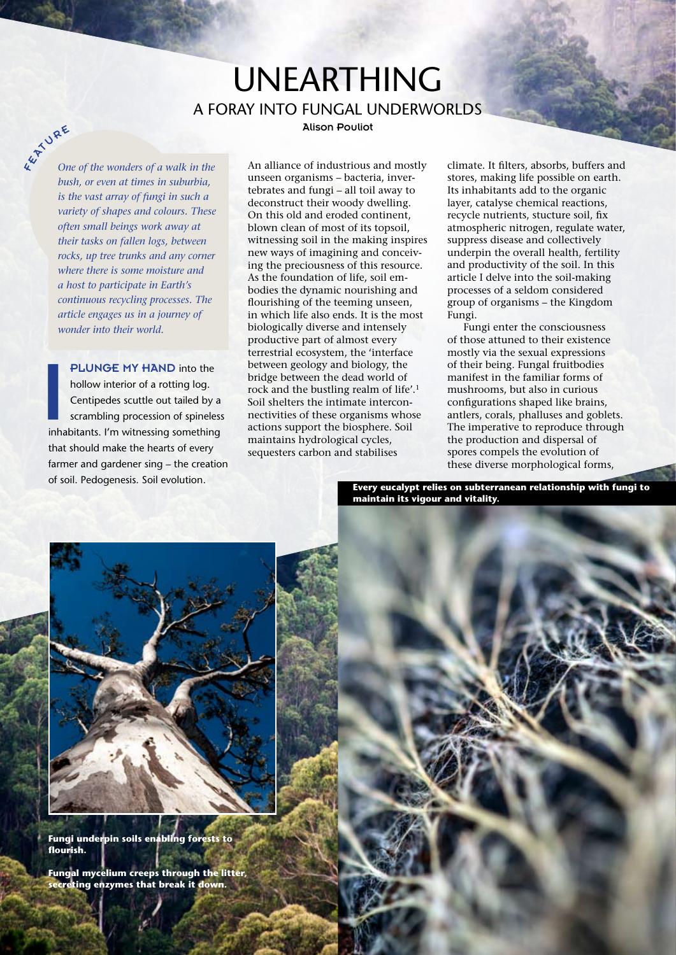## Unearthing A Foray into Fungal Underworlds

Alison Pouliot

**K WAE** *One of the wonders of a walk in the bush, or even at times in suburbia, is the vast array of fungi in such a variety of shapes and colours. These often small beings work away at their tasks on fallen logs, between rocks, up tree trunks and any corner where there is some moisture and a host to participate in Earth's continuous recycling processes. The article engages us in a journey of wonder into their world.*

**PLUNGE MY HAND** into the hollow interior of a rotting log.<br>Centipedes scuttle out tailed by a scrambling procession of spineless<br>inhabitants. I'm witnessing something hollow interior of a rotting log. Centipedes scuttle out tailed by a scrambling procession of spineless that should make the hearts of every farmer and gardener sing – the creation of soil. Pedogenesis. Soil evolution.

An alliance of industrious and mostly unseen organisms – bacteria, invertebrates and fungi – all toil away to deconstruct their woody dwelling. On this old and eroded continent, blown clean of most of its topsoil, witnessing soil in the making inspires new ways of imagining and conceiving the preciousness of this resource. As the foundation of life, soil embodies the dynamic nourishing and flourishing of the teeming unseen, in which life also ends. It is the most biologically diverse and intensely productive part of almost every terrestrial ecosystem, the 'interface between geology and biology, the bridge between the dead world of rock and the bustling realm of life'.1 Soil shelters the intimate interconnectivities of these organisms whose actions support the biosphere. Soil maintains hydrological cycles, sequesters carbon and stabilises

climate. It filters, absorbs, buffers and stores, making life possible on earth. Its inhabitants add to the organic layer, catalyse chemical reactions, recycle nutrients, stucture soil, fix atmospheric nitrogen, regulate water, suppress disease and collectively underpin the overall health, fertility and productivity of the soil. In this article I delve into the soil-making processes of a seldom considered group of organisms – the Kingdom Fungi.

Fungi enter the consciousness of those attuned to their existence mostly via the sexual expressions of their being. Fungal fruitbodies manifest in the familiar forms of mushrooms, but also in curious configurations shaped like brains, antlers, corals, phalluses and goblets. The imperative to reproduce through the production and dispersal of spores compels the evolution of these diverse morphological forms,

**Every eucalypt relies on subterranean relationship with fungi to maintain its vigour and vitality.**



**Fungi underpin soils enabling forests to flourish.**

**Fungal mycelium creeps through the litter, secreting enzymes that break it down.**

12 • *EarthSong* Volume 3 • Issue 1, Spring 2015

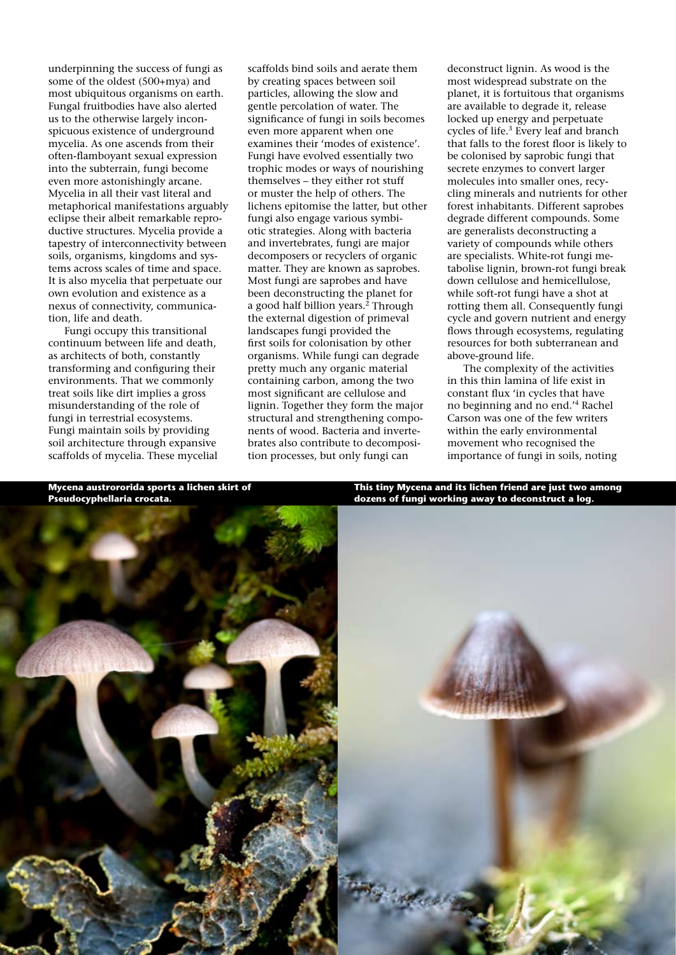underpinning the success of fungi as some of the oldest (500+mya) and most ubiquitous organisms on earth. Fungal fruitbodies have also alerted us to the otherwise largely inconspicuous existence of underground mycelia. As one ascends from their often-flamboyant sexual expression into the subterrain, fungi become even more astonishingly arcane. Mycelia in all their vast literal and metaphorical manifestations arguably eclipse their albeit remarkable reproductive structures. Mycelia provide a tapestry of interconnectivity between soils, organisms, kingdoms and systems across scales of time and space. It is also mycelia that perpetuate our own evolution and existence as a nexus of connectivity, communication, life and death.

Fungi occupy this transitional continuum between life and death, as architects of both, constantly transforming and configuring their environments. That we commonly treat soils like dirt implies a gross misunderstanding of the role of fungi in terrestrial ecosystems. Fungi maintain soils by providing soil architecture through expansive scaffolds of mycelia. These mycelial scaffolds bind soils and aerate them by creating spaces between soil particles, allowing the slow and gentle percolation of water. The significance of fungi in soils becomes even more apparent when one examines their 'modes of existence'. Fungi have evolved essentially two trophic modes or ways of nourishing themselves – they either rot stuff or muster the help of others. The lichens epitomise the latter, but other fungi also engage various symbiotic strategies. Along with bacteria and invertebrates, fungi are major decomposers or recyclers of organic matter. They are known as saprobes. Most fungi are saprobes and have been deconstructing the planet for a good half billion years.<sup>2</sup> Through the external digestion of primeval landscapes fungi provided the first soils for colonisation by other organisms. While fungi can degrade pretty much any organic material containing carbon, among the two most significant are cellulose and lignin. Together they form the major structural and strengthening components of wood. Bacteria and invertebrates also contribute to decomposition processes, but only fungi can

deconstruct lignin. As wood is the most widespread substrate on the planet, it is fortuitous that organisms are available to degrade it, release locked up energy and perpetuate cycles of life.3 Every leaf and branch that falls to the forest floor is likely to be colonised by saprobic fungi that secrete enzymes to convert larger molecules into smaller ones, recycling minerals and nutrients for other forest inhabitants. Different saprobes degrade different compounds. Some are generalists deconstructing a variety of compounds while others are specialists. White-rot fungi metabolise lignin, brown-rot fungi break down cellulose and hemicellulose, while soft-rot fungi have a shot at rotting them all. Consequently fungi cycle and govern nutrient and energy flows through ecosystems, regulating resources for both subterranean and above-ground life.

The complexity of the activities in this thin lamina of life exist in constant flux 'in cycles that have no beginning and no end.'4 Rachel Carson was one of the few writers within the early environmental movement who recognised the importance of fungi in soils, noting

**Mycena austrororida sports a lichen skirt of Pseudocyphellaria crocata.**

**This tiny Mycena and its lichen friend are just two among dozens of fungi working away to deconstruct a log.**

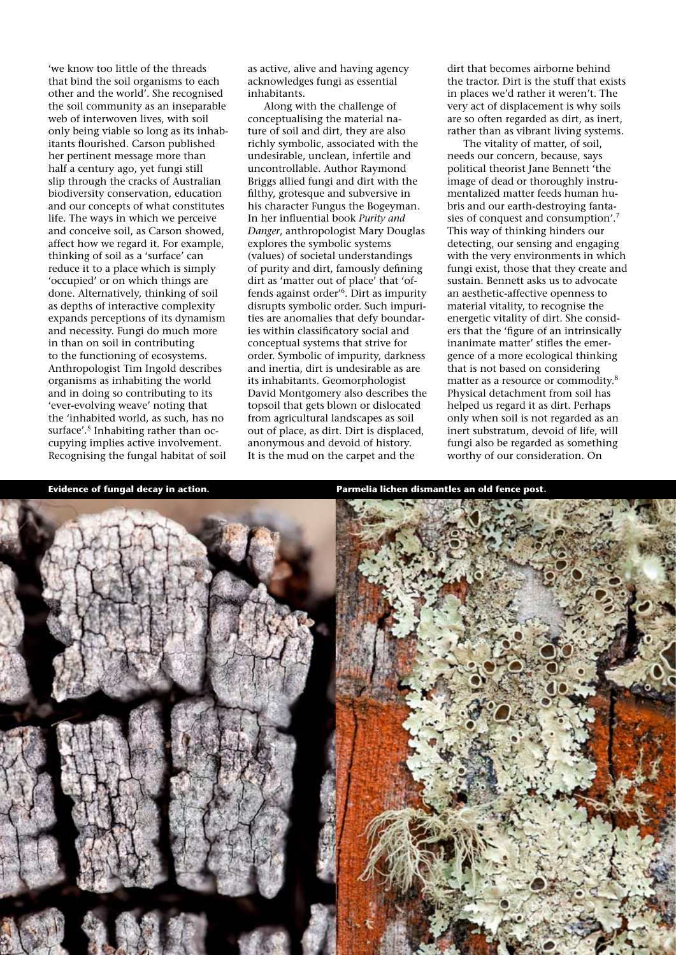'we know too little of the threads that bind the soil organisms to each other and the world'. She recognised the soil community as an inseparable web of interwoven lives, with soil only being viable so long as its inhabitants flourished. Carson published her pertinent message more than half a century ago, yet fungi still slip through the cracks of Australian biodiversity conservation, education and our concepts of what constitutes life. The ways in which we perceive and conceive soil, as Carson showed, affect how we regard it. For example, thinking of soil as a 'surface' can reduce it to a place which is simply 'occupied' or on which things are done. Alternatively, thinking of soil as depths of interactive complexity expands perceptions of its dynamism and necessity. Fungi do much more in than on soil in contributing to the functioning of ecosystems. Anthropologist Tim Ingold describes organisms as inhabiting the world and in doing so contributing to its 'ever-evolving weave' noting that the 'inhabited world, as such, has no surface'.<sup>5</sup> Inhabiting rather than occupying implies active involvement. Recognising the fungal habitat of soil

as active, alive and having agency acknowledges fungi as essential inhabitants.

Along with the challenge of conceptualising the material nature of soil and dirt, they are also richly symbolic, associated with the undesirable, unclean, infertile and uncontrollable. Author Raymond Briggs allied fungi and dirt with the filthy, grotesque and subversive in his character Fungus the Bogeyman. In her influential book *Purity and Danger*, anthropologist Mary Douglas explores the symbolic systems (values) of societal understandings of purity and dirt, famously defining dirt as 'matter out of place' that 'offends against order'6. Dirt as impurity disrupts symbolic order. Such impurities are anomalies that defy boundaries within classificatory social and conceptual systems that strive for order. Symbolic of impurity, darkness and inertia, dirt is undesirable as are its inhabitants. Geomorphologist David Montgomery also describes the topsoil that gets blown or dislocated from agricultural landscapes as soil out of place, as dirt. Dirt is displaced, anonymous and devoid of history. It is the mud on the carpet and the

dirt that becomes airborne behind the tractor. Dirt is the stuff that exists in places we'd rather it weren't. The very act of displacement is why soils are so often regarded as dirt, as inert, rather than as vibrant living systems.

The vitality of matter, of soil, needs our concern, because, says political theorist Jane Bennett 'the image of dead or thoroughly instrumentalized matter feeds human hubris and our earth-destroying fantasies of conquest and consumption'.7 This way of thinking hinders our detecting, our sensing and engaging with the very environments in which fungi exist, those that they create and sustain. Bennett asks us to advocate an aesthetic-affective openness to material vitality, to recognise the energetic vitality of dirt. She considers that the 'figure of an intrinsically inanimate matter' stifles the emergence of a more ecological thinking that is not based on considering matter as a resource or commodity.8 Physical detachment from soil has helped us regard it as dirt. Perhaps only when soil is not regarded as an inert substratum, devoid of life, will fungi also be regarded as something worthy of our consideration. On



**Evidence of fungal decay in action. Parmelia lichen dismantles an old fence post.**